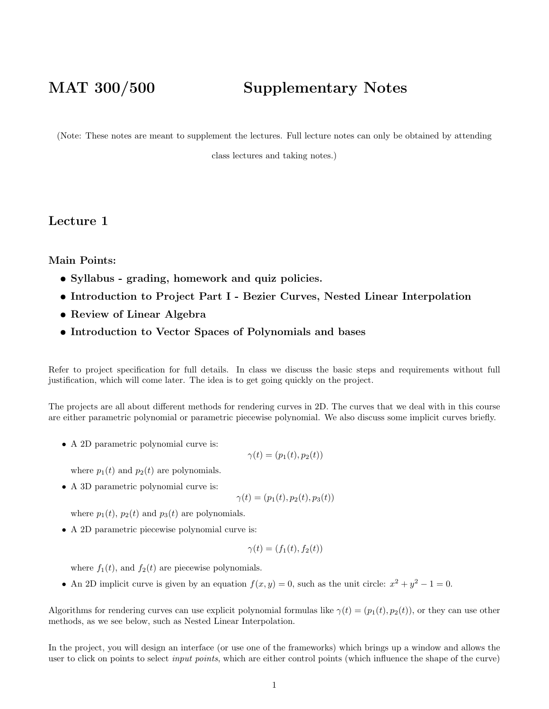## MAT 300/500 Supplementary Notes

(Note: These notes are meant to supplement the lectures. Full lecture notes can only be obtained by attending

class lectures and taking notes.)

Lecture 1

Main Points:

- Syllabus grading, homework and quiz policies.
- Introduction to Project Part I Bezier Curves, Nested Linear Interpolation
- Review of Linear Algebra
- Introduction to Vector Spaces of Polynomials and bases

Refer to project specification for full details. In class we discuss the basic steps and requirements without full justification, which will come later. The idea is to get going quickly on the project.

The projects are all about different methods for rendering curves in 2D. The curves that we deal with in this course are either parametric polynomial or parametric piecewise polynomial. We also discuss some implicit curves briefly.

• A 2D parametric polynomial curve is:

$$
\gamma(t) = (p_1(t), p_2(t))
$$

where  $p_1(t)$  and  $p_2(t)$  are polynomials.

• A 3D parametric polynomial curve is:

$$
\gamma(t) = (p_1(t), p_2(t), p_3(t))
$$

where  $p_1(t)$ ,  $p_2(t)$  and  $p_3(t)$  are polynomials.

• A 2D parametric piecewise polynomial curve is:

$$
\gamma(t) = (f_1(t), f_2(t))
$$

where  $f_1(t)$ , and  $f_2(t)$  are piecewise polynomials.

• An 2D implicit curve is given by an equation  $f(x, y) = 0$ , such as the unit circle:  $x^2 + y^2 - 1 = 0$ .

Algorithms for rendering curves can use explicit polynomial formulas like  $\gamma(t) = (p_1(t), p_2(t))$ , or they can use other methods, as we see below, such as Nested Linear Interpolation.

In the project, you will design an interface (or use one of the frameworks) which brings up a window and allows the user to click on points to select *input points*, which are either control points (which influence the shape of the curve)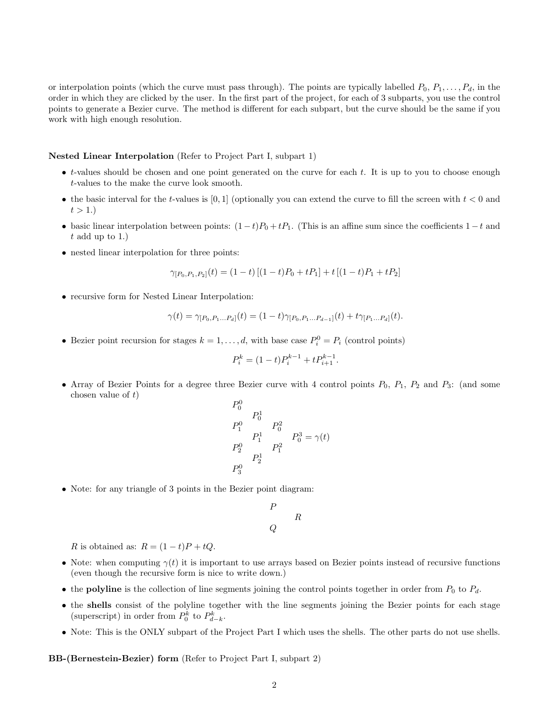or interpolation points (which the curve must pass through). The points are typically labelled  $P_0, P_1, \ldots, P_d$ , in the order in which they are clicked by the user. In the first part of the project, for each of 3 subparts, you use the control points to generate a Bezier curve. The method is different for each subpart, but the curve should be the same if you work with high enough resolution.

## Nested Linear Interpolation (Refer to Project Part I, subpart 1)

- $\bullet$  t-values should be chosen and one point generated on the curve for each t. It is up to you to choose enough t-values to the make the curve look smooth.
- the basic interval for the t-values is [0, 1] (optionally you can extend the curve to fill the screen with  $t < 0$  and  $t > 1.$
- basic linear interpolation between points:  $(1-t)P_0 + tP_1$ . (This is an affine sum since the coefficients  $1-t$  and  $t$  add up to 1.)
- nested linear interpolation for three points:

$$
\gamma_{[P_0,P_1,P_2]}(t) = (1-t) \left[ (1-t)P_0 + tP_1 \right] + t \left[ (1-t)P_1 + tP_2 \right]
$$

• recursive form for Nested Linear Interpolation:

$$
\gamma(t) = \gamma_{[P_0, P_1...P_d]}(t) = (1-t)\gamma_{[P_0, P_1...P_{d-1}]}(t) + t\gamma_{[P_1...P_d]}(t).
$$

• Bezier point recursion for stages  $k = 1, ..., d$ , with base case  $P_i^0 = P_i$  (control points)

$$
P_i^k = (1 - t)P_i^{k-1} + tP_{i+1}^{k-1}.
$$

• Array of Bezier Points for a degree three Bezier curve with 4 control points  $P_0$ ,  $P_1$ ,  $P_2$  and  $P_3$ : (and some chosen value of  $t$ )

$$
P_0^0
$$
  
\n
$$
P_1^1
$$
  
\n
$$
P_1^0
$$
  
\n
$$
P_1^1
$$
  
\n
$$
P_0^2
$$
  
\n
$$
P_1^1
$$
  
\n
$$
P_1^3
$$
  
\n
$$
P_1^0
$$
  
\n
$$
P_1^1
$$
  
\n
$$
P_1^3 = \gamma(t)
$$

• Note: for any triangle of 3 points in the Bezier point diagram:

$$
\begin{matrix} P\\ &R \end{matrix}
$$

R is obtained as:  $R = (1 - t)P + tQ$ .

- Note: when computing  $\gamma(t)$  it is important to use arrays based on Bezier points instead of recursive functions (even though the recursive form is nice to write down.)
- the polyline is the collection of line segments joining the control points together in order from  $P_0$  to  $P_d$ .
- the shells consist of the polyline together with the line segments joining the Bezier points for each stage (superscript) in order from  $P_0^k$  to  $P_{d-k}^k$ .
- Note: This is the ONLY subpart of the Project Part I which uses the shells. The other parts do not use shells.

BB-(Bernestein-Bezier) form (Refer to Project Part I, subpart 2)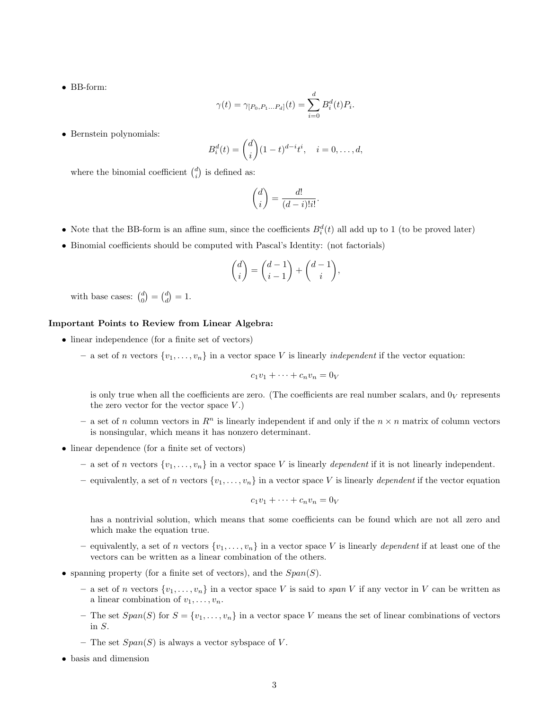• BB-form:

$$
\gamma(t) = \gamma_{[P_0, P_1...P_d]}(t) = \sum_{i=0}^d B_i^d(t) P_i.
$$

• Bernstein polynomials:

$$
B_i^d(t) = \binom{d}{i} (1-t)^{d-i} t^i, \quad i = 0, \dots, d,
$$

where the binomial coefficient  $\binom{d}{i}$  is defined as:

$$
\binom{d}{i} = \frac{d!}{(d-i)!i!}.
$$

- Note that the BB-form is an affine sum, since the coefficients  $B_i^d(t)$  all add up to 1 (to be proved later)
- Binomial coefficients should be computed with Pascal's Identity: (not factorials)

$$
\binom{d}{i} = \binom{d-1}{i-1} + \binom{d-1}{i},
$$

with base cases:  $\binom{d}{0} = \binom{d}{d} = 1$ .

## Important Points to Review from Linear Algebra:

- linear independence (for a finite set of vectors)
	- a set of n vectors  $\{v_1, \ldots, v_n\}$  in a vector space V is linearly *independent* if the vector equation:

$$
c_1v_1 + \dots + c_nv_n = 0_V
$$

is only true when all the coefficients are zero. (The coefficients are real number scalars, and  $0_V$  represents the zero vector for the vector space  $V$ .)

- a set of n column vectors in  $\mathbb{R}^n$  is linearly independent if and only if the  $n \times n$  matrix of column vectors is nonsingular, which means it has nonzero determinant.
- linear dependence (for a finite set of vectors)
	- a set of n vectors  $\{v_1, \ldots, v_n\}$  in a vector space V is linearly dependent if it is not linearly independent.
	- equivalently, a set of n vectors  $\{v_1, \ldots, v_n\}$  in a vector space V is linearly dependent if the vector equation

$$
c_1v_1 + \dots + c_nv_n = 0_V
$$

has a nontrivial solution, which means that some coefficients can be found which are not all zero and which make the equation true.

- equivalently, a set of n vectors  $\{v_1, \ldots, v_n\}$  in a vector space V is linearly dependent if at least one of the vectors can be written as a linear combination of the others.
- spanning property (for a finite set of vectors), and the  $Span(S)$ .
	- a set of n vectors  $\{v_1, \ldots, v_n\}$  in a vector space V is said to span V if any vector in V can be written as a linear combination of  $v_1, \ldots, v_n$ .
	- The set  $Span(S)$  for  $S = \{v_1, \ldots, v_n\}$  in a vector space V means the set of linear combinations of vectors in S.
	- The set  $Span(S)$  is always a vector sybspace of V.
- basis and dimension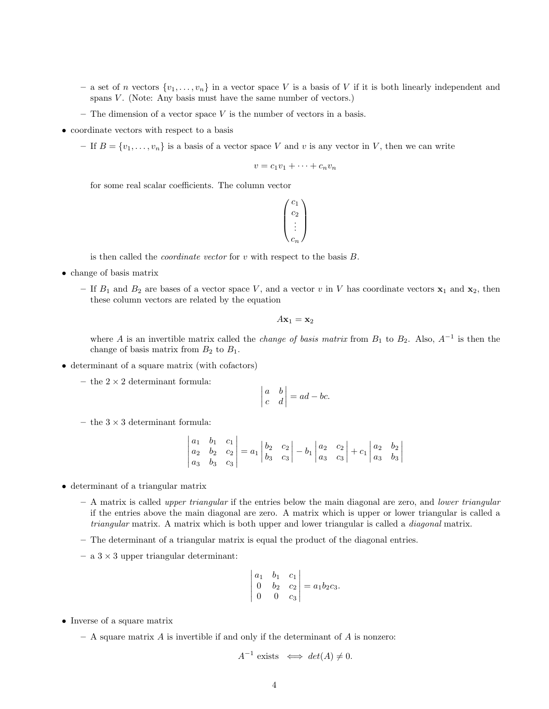- a set of n vectors  $\{v_1, \ldots, v_n\}$  in a vector space V is a basis of V if it is both linearly independent and spans  $V$ . (Note: Any basis must have the same number of vectors.)
- $-$  The dimension of a vector space V is the number of vectors in a basis.
- coordinate vectors with respect to a basis
	- If  $B = \{v_1, \ldots, v_n\}$  is a basis of a vector space V and v is any vector in V, then we can write

$$
v = c_1v_1 + \dots + c_nv_n
$$

for some real scalar coefficients. The column vector

$$
\begin{pmatrix} c_1 \\ c_2 \\ \vdots \\ c_n \end{pmatrix}
$$

is then called the *coordinate vector* for  $v$  with respect to the basis  $B$ .

- change of basis matrix
	- If  $B_1$  and  $B_2$  are bases of a vector space V, and a vector v in V has coordinate vectors  $x_1$  and  $x_2$ , then these column vectors are related by the equation

$$
A\mathbf{x}_1 = \mathbf{x}_2
$$

where A is an invertible matrix called the *change of basis matrix* from  $B_1$  to  $B_2$ . Also,  $A^{-1}$  is then the change of basis matrix from  $B_2$  to  $B_1$ .

- determinant of a square matrix (with cofactors)
	- the  $2 \times 2$  determinant formula:

$$
\begin{vmatrix} a & b \\ c & d \end{vmatrix} = ad - bc.
$$

– the  $3 \times 3$  determinant formula:

$$
\begin{vmatrix} a_1 & b_1 & c_1 \ a_2 & b_2 & c_2 \ a_3 & b_3 & c_3 \ \end{vmatrix} = a_1 \begin{vmatrix} b_2 & c_2 \ b_3 & c_3 \end{vmatrix} - b_1 \begin{vmatrix} a_2 & c_2 \ a_3 & c_3 \end{vmatrix} + c_1 \begin{vmatrix} a_2 & b_2 \ a_3 & b_3 \end{vmatrix}
$$

- determinant of a triangular matrix
	- A matrix is called upper triangular if the entries below the main diagonal are zero, and lower triangular if the entries above the main diagonal are zero. A matrix which is upper or lower triangular is called a triangular matrix. A matrix which is both upper and lower triangular is called a diagonal matrix.
	- The determinant of a triangular matrix is equal the product of the diagonal entries.
	- $-$  a  $3 \times 3$  upper triangular determinant:

$$
\begin{vmatrix} a_1 & b_1 & c_1 \\ 0 & b_2 & c_2 \\ 0 & 0 & c_3 \end{vmatrix} = a_1b_2c_3.
$$

- Inverse of a square matrix
	- $-$  A square matrix  $A$  is invertible if and only if the determinant of  $A$  is nonzero:

 $A^{-1}$  exists  $\iff det(A) \neq 0$ .